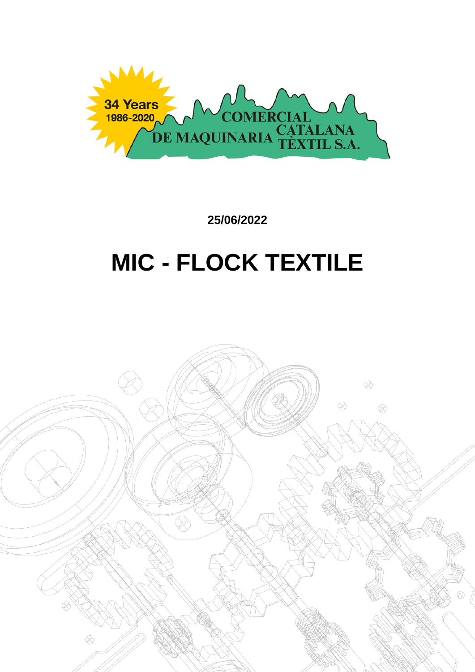

**25/06/2022**

# **MIC - FLOCK TEXTILE**

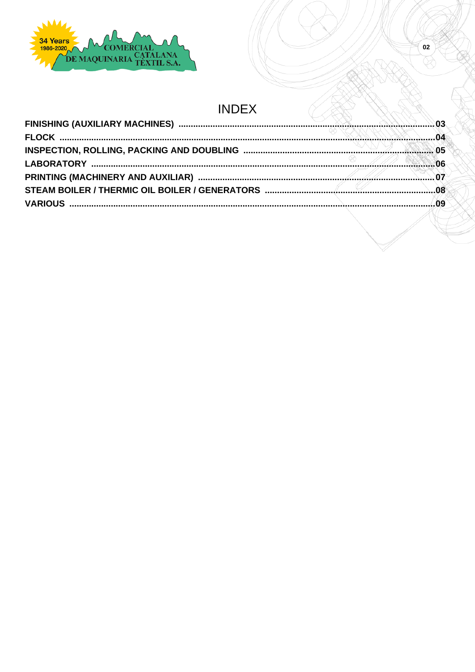

### **INDEX**

 $\overline{\textbf{02}}$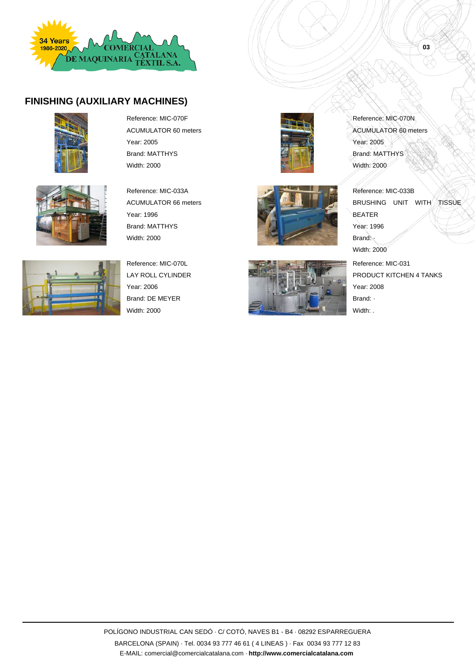

#### **FINISHING (AUXILIARY MACHINES)**







Reference: MIC-070L LAY ROLL CYLINDER Year: 2006 Brand: DE MEYER Width: 2000

Reference: MIC-070F ACUMULATOR 60 meters

Reference: MIC-033A ACUMULATOR 66 meters

Year: 2005 Brand: MATTHYS Width: 2000

Year: 1996







Reference: MIC-070N ACUMULATOR 60 meters Year: 2005 Brand: MATTHYS Width: 2000

**03**

Reference: MIC-033B BRUSHING UNIT WITH TISSUE BEATER Year: 1996 Brand: Width: 2000 Reference: MIC-031

PRODUCT KITCHEN 4 TANKS Year: 2008 Brand: · Width: .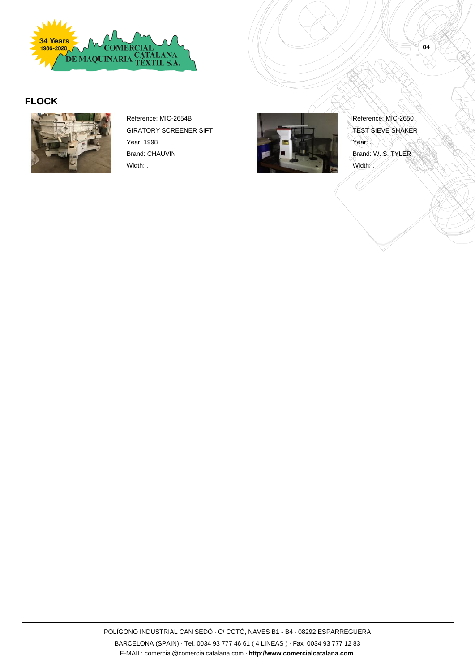

#### **FLOCK**



Reference: MIC-2654B GIRATORY SCREENER SIFT Year: 1998 Brand: CHAUVIN Width: .



Reference: MIC-2650 TEST SIEVE SHAKER Year: Brand: W. S. TYLER Width:

POLÍGONO INDUSTRIAL CAN SEDÓ · C/ COTÓ, NAVES B1 - B4 · 08292 ESPARREGUERA BARCELONA (SPAIN) · Tel. 0034 93 777 46 61 ( 4 LINEAS ) · Fax 0034 93 777 12 83 E-MAIL: comercial@comercialcatalana.com · **http://www.comercialcatalana.com**

**04**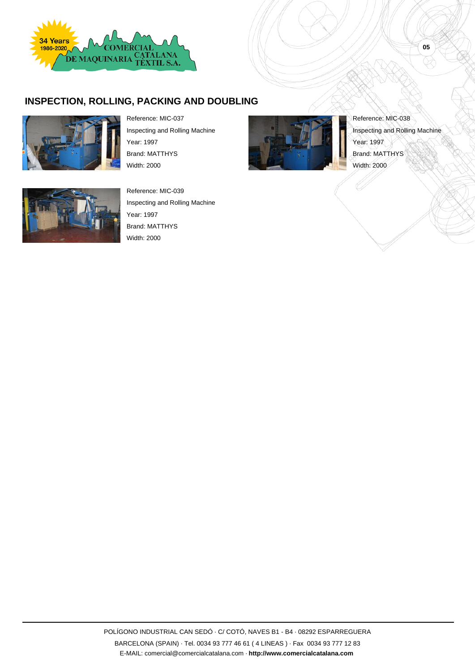

#### **INSPECTION, ROLLING, PACKING AND DOUBLING**



Reference: MIC-037 Inspecting and Rolling Machine

Year: 1997 Brand: MATTHYS Width: 2000



Reference: MIC-039 Inspecting and Rolling Machine Year: 1997 Brand: MATTHYS Width: 2000



Reference: MIC-038 Inspecting and Rolling Machine Year: 1997 Brand: MATTHYS Width: 2000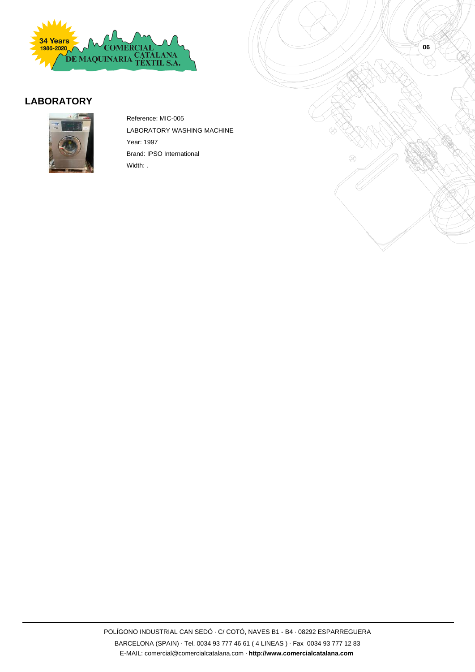

#### **LABORATORY**



Reference: MIC-005 LABORATORY WASHING MACHINE Year: 1997 Brand: IPSO International Width: .

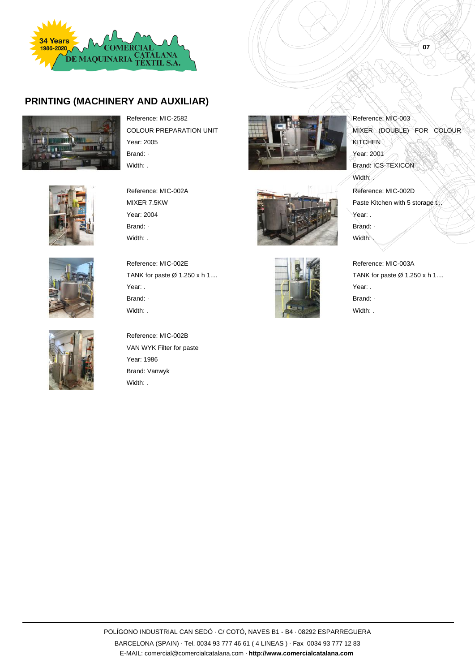

#### **PRINTING (MACHINERY AND AUXILIAR)**





Reference: MIC-2582 COLOUR PREPARATION UNIT Year: 2005 Brand: · Width: .

Reference: MIC-002A MIXER 7.5KW Year: 2004 Brand: · Width: .

Reference: MIC-002E

Year: . Brand: · Width: .

TANK for paste  $\varnothing$  1.250 x h 1....







Reference: MIC-002B VAN WYK Filter for paste Year: 1986 Brand: Vanwyk Width: .







Reference: MIC-003 MIXER (DOUBLE) FOR COLOUR **KITCHEN** Year: 2001 Brand: ICS-TEXICON Width: Reference: MIC-002D Paste Kitchen with 5 storage t... Year: . Brand: · Width:

**07**

Reference: MIC-003A TANK for paste  $\varnothing$  1.250 x h 1.... Year: . Brand: · Width: .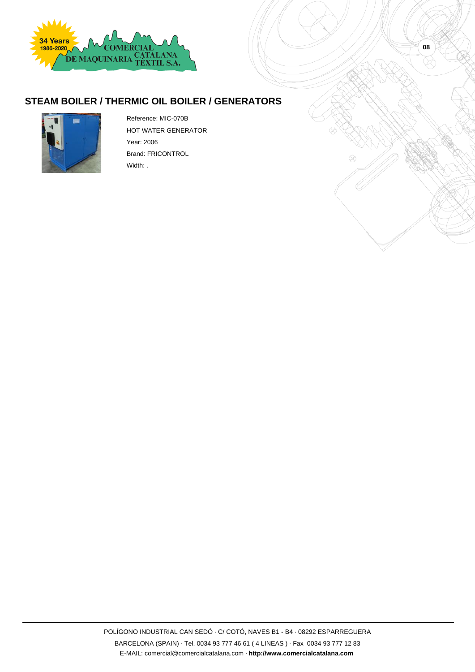

#### **STEAM BOILER / THERMIC OIL BOILER / GENERATORS**



Reference: MIC-070B HOT WATER GENERATOR Year: 2006 Brand: FRICONTROL Width: .

**08**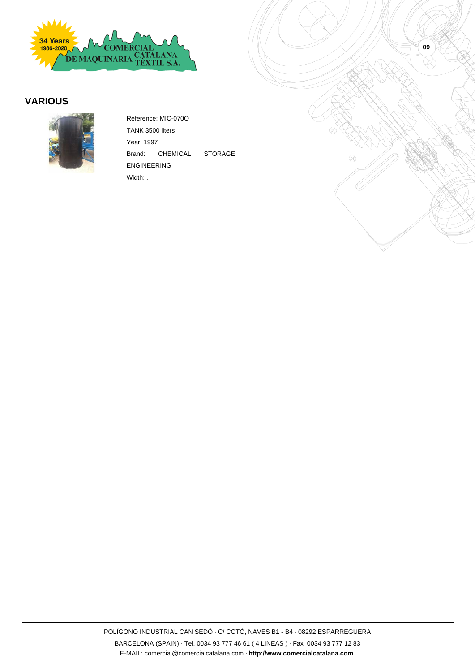

#### **VARIOUS**



Reference: MIC-070O TANK 3500 liters Year: 1997 Brand: CHEMICAL STORAGE ENGINEERING Width: .